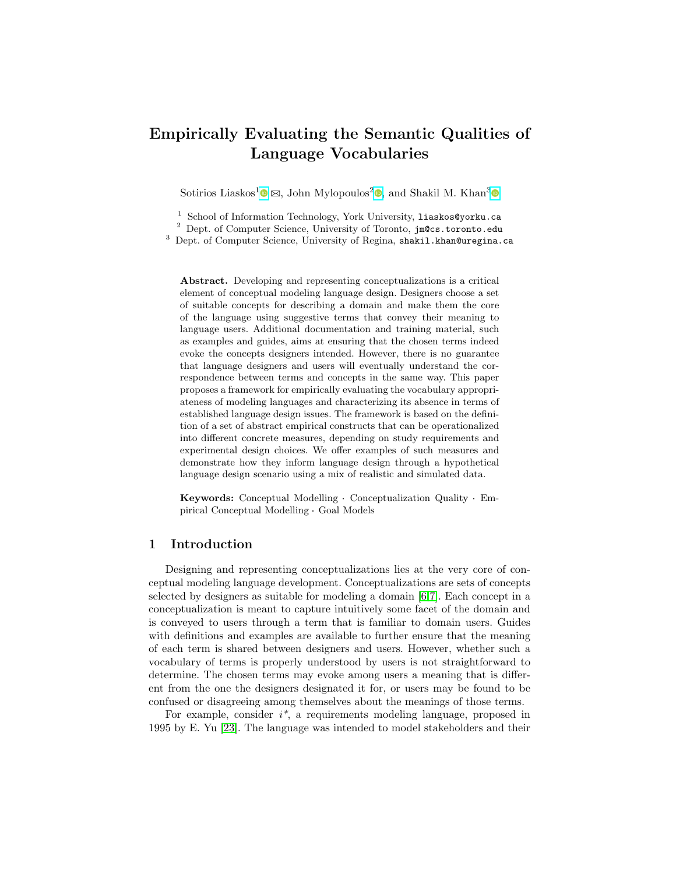# Empirically Evaluating the Semantic Qualities of Language Vocabularies

Sotirios Liaskos<sup>[1](https://orcid.org/0000-0001-5625-5297)</sup><sup>o</sup>  $\boxtimes$ [,](https://orcid.org/0000-0002-8698-3292) John Mylopoulos<sup>2</sup><sup>o</sup>, and Shakil M. Khan<sup>[3](https://orcid.org/0000-0003-0140-3584)</sup>

 $^{\rm 1}$  School of Information Technology, York University,  ${\tt lisskos@yorku.ca}$ 

<sup>2</sup> Dept. of Computer Science, University of Toronto, jm@cs.toronto.edu

<sup>3</sup> Dept. of Computer Science, University of Regina, shakil.khan@uregina.ca

Abstract. Developing and representing conceptualizations is a critical element of conceptual modeling language design. Designers choose a set of suitable concepts for describing a domain and make them the core of the language using suggestive terms that convey their meaning to language users. Additional documentation and training material, such as examples and guides, aims at ensuring that the chosen terms indeed evoke the concepts designers intended. However, there is no guarantee that language designers and users will eventually understand the correspondence between terms and concepts in the same way. This paper proposes a framework for empirically evaluating the vocabulary appropriateness of modeling languages and characterizing its absence in terms of established language design issues. The framework is based on the definition of a set of abstract empirical constructs that can be operationalized into different concrete measures, depending on study requirements and experimental design choices. We offer examples of such measures and demonstrate how they inform language design through a hypothetical language design scenario using a mix of realistic and simulated data.

ranguage design scenario using a mix or reansuc and simulated data.<br>Keywords: Conceptual Modelling · Conceptualization Quality · Em-**Keywords:** Conceptual Modelling · Conceptual Modelling · Goal Models

# 1 Introduction

Designing and representing conceptualizations lies at the very core of conceptual modeling language development. Conceptualizations are sets of concepts selected by designers as suitable for modeling a domain [\[6,](#page-12-0)[7\]](#page-12-1). Each concept in a conceptualization is meant to capture intuitively some facet of the domain and is conveyed to users through a term that is familiar to domain users. Guides with definitions and examples are available to further ensure that the meaning of each term is shared between designers and users. However, whether such a vocabulary of terms is properly understood by users is not straightforward to determine. The chosen terms may evoke among users a meaning that is different from the one the designers designated it for, or users may be found to be confused or disagreeing among themselves about the meanings of those terms.

For example, consider  $i^*$ , a requirements modeling language, proposed in 1995 by E. Yu [\[23\]](#page-13-0). The language was intended to model stakeholders and their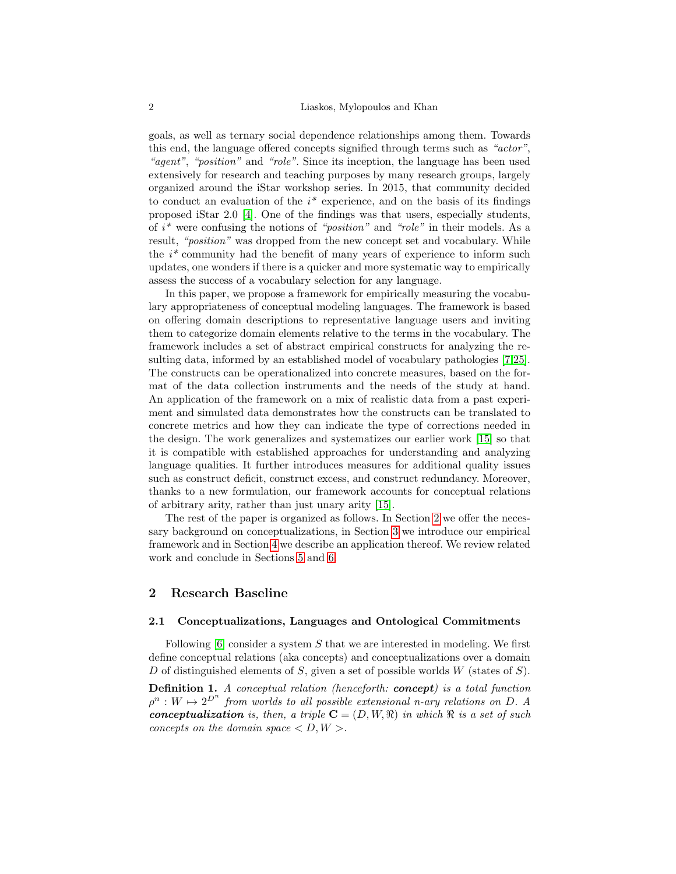goals, as well as ternary social dependence relationships among them. Towards this end, the language offered concepts signified through terms such as "actor", "*agent"*, "*position*" and "*role*". Since its inception, the language has been used extensively for research and teaching purposes by many research groups, largely organized around the iStar workshop series. In 2015, that community decided to conduct an evaluation of the  $i^*$  experience, and on the basis of its findings proposed iStar 2.0 [\[4\]](#page-12-2). One of the findings was that users, especially students, of  $i^*$  were confusing the notions of "position" and "role" in their models. As a result, "position" was dropped from the new concept set and vocabulary. While the  $i^*$  community had the benefit of many years of experience to inform such updates, one wonders if there is a quicker and more systematic way to empirically assess the success of a vocabulary selection for any language.

In this paper, we propose a framework for empirically measuring the vocabulary appropriateness of conceptual modeling languages. The framework is based on offering domain descriptions to representative language users and inviting them to categorize domain elements relative to the terms in the vocabulary. The framework includes a set of abstract empirical constructs for analyzing the resulting data, informed by an established model of vocabulary pathologies [\[7,](#page-12-1)[25\]](#page-13-1). The constructs can be operationalized into concrete measures, based on the format of the data collection instruments and the needs of the study at hand. An application of the framework on a mix of realistic data from a past experiment and simulated data demonstrates how the constructs can be translated to concrete metrics and how they can indicate the type of corrections needed in the design. The work generalizes and systematizes our earlier work [\[15\]](#page-13-2) so that it is compatible with established approaches for understanding and analyzing language qualities. It further introduces measures for additional quality issues such as construct deficit, construct excess, and construct redundancy. Moreover, thanks to a new formulation, our framework accounts for conceptual relations of arbitrary arity, rather than just unary arity [\[15\]](#page-13-2).

The rest of the paper is organized as follows. In Section [2](#page-1-0) we offer the necessary background on conceptualizations, in Section [3](#page-3-0) we introduce our empirical framework and in Section [4](#page-7-0) we describe an application thereof. We review related work and conclude in Sections [5](#page-11-0) and [6.](#page-12-3)

# <span id="page-1-0"></span>2 Research Baseline

## 2.1 Conceptualizations, Languages and Ontological Commitments

Following [\[6\]](#page-12-0) consider a system S that we are interested in modeling. We first define conceptual relations (aka concepts) and conceptualizations over a domain D of distinguished elements of S, given a set of possible worlds  $W$  (states of  $S$ ).

Definition 1. A conceptual relation (henceforth: **concept**) is a total function  $\rho^n: W \mapsto 2^{D^n}$  from worlds to all possible extensional n-ary relations on D. A **conceptualization** is, then, a triple  $C = (D, W, \Re)$  in which  $\Re$  is a set of such concepts on the domain space  $\langle D, W \rangle$ .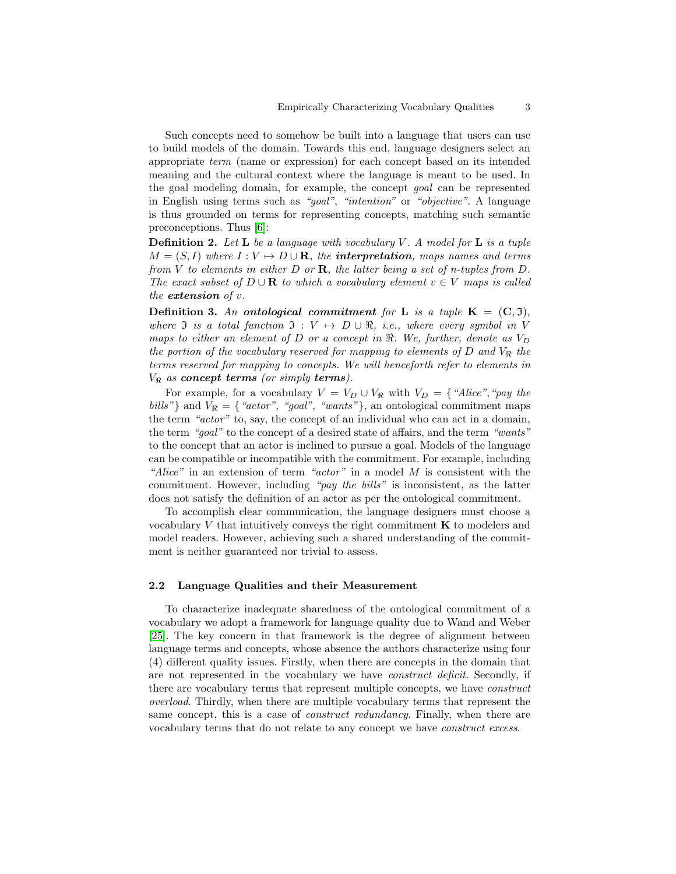Such concepts need to somehow be built into a language that users can use to build models of the domain. Towards this end, language designers select an appropriate term (name or expression) for each concept based on its intended meaning and the cultural context where the language is meant to be used. In the goal modeling domain, for example, the concept goal can be represented in English using terms such as "goal", "intention" or "objective". A language is thus grounded on terms for representing concepts, matching such semantic preconceptions. Thus [\[6\]](#page-12-0):

**Definition 2.** Let  $L$  be a language with vocabulary  $V$ . A model for  $L$  is a tuple  $M = (S, I)$  where  $I: V \rightarrow D \cup \mathbf{R}$ , the **interpretation**, maps names and terms from V to elements in either D or  $\bf{R}$ , the latter being a set of n-tuples from D. The exact subset of  $D \cup \mathbf{R}$  to which a vocabulary element  $v \in V$  maps is called the **extension** of  $v$ .

Definition 3. An ontological commitment for L is a tuple  $K = (C, \mathfrak{I})$ , where  $\Im$  is a total function  $\Im: V \mapsto D \cup \Re$ , i.e., where every symbol in V maps to either an element of D or a concept in  $\Re$ . We, further, denote as  $V_D$ the portion of the vocabulary reserved for mapping to elements of  $D$  and  $V_{\Re}$  the terms reserved for mapping to concepts. We will henceforth refer to elements in  $V_{\Re}$  as concept terms (or simply terms).

For example, for a vocabulary  $V = V_D \cup V_{\Re}$  with  $V_D = \{$  "Alice", "pay the bills"} and  $V_{\mathcal{R}} = \{ "actor", "goal", "wants"\}$ , an ontological commitment maps the term "actor" to, say, the concept of an individual who can act in a domain, the term "goal" to the concept of a desired state of affairs, and the term "wants" to the concept that an actor is inclined to pursue a goal. Models of the language can be compatible or incompatible with the commitment. For example, including "Alice" in an extension of term " $actor$ " in a model M is consistent with the commitment. However, including "pay the bills" is inconsistent, as the latter does not satisfy the definition of an actor as per the ontological commitment.

To accomplish clear communication, the language designers must choose a vocabulary  $V$  that intuitively conveys the right commitment  $\bf{K}$  to modelers and model readers. However, achieving such a shared understanding of the commitment is neither guaranteed nor trivial to assess.

#### 2.2 Language Qualities and their Measurement

To characterize inadequate sharedness of the ontological commitment of a vocabulary we adopt a framework for language quality due to Wand and Weber [\[25\]](#page-13-1). The key concern in that framework is the degree of alignment between language terms and concepts, whose absence the authors characterize using four (4) different quality issues. Firstly, when there are concepts in the domain that are not represented in the vocabulary we have construct deficit. Secondly, if there are vocabulary terms that represent multiple concepts, we have construct overload. Thirdly, when there are multiple vocabulary terms that represent the same concept, this is a case of *construct redundancy*. Finally, when there are vocabulary terms that do not relate to any concept we have construct excess.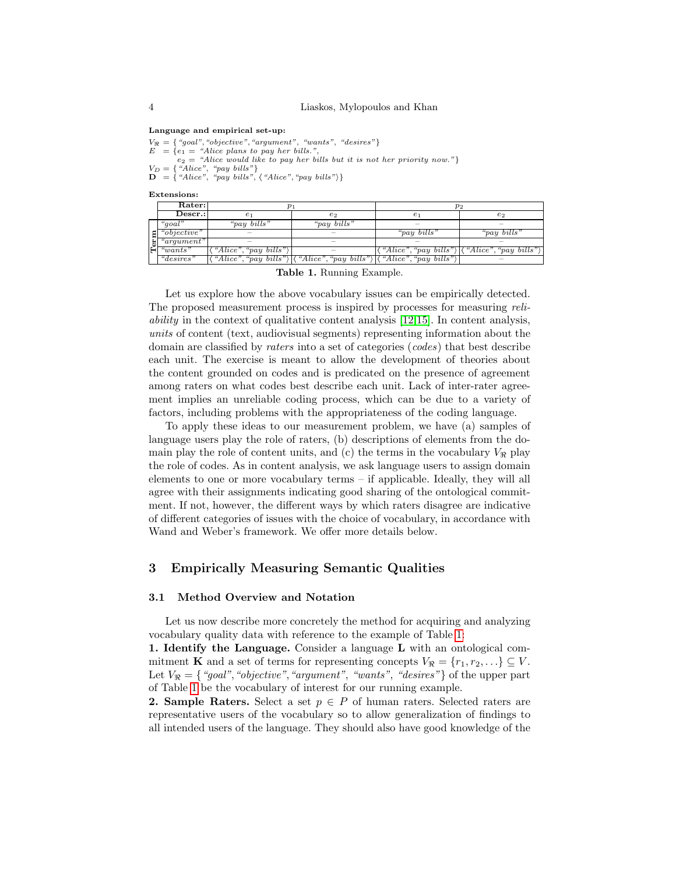## Language and empirical set-up:

- 
- $V_{\Re} = \{``goal'', "objective", "argument", "wants", "desires"\}\ E = \{e_1 = "Alice plans to pay her bills",\br>\n $E = e_2 = "Alice would like to pay her bills but it is not her priority now." \}$ <br>  $V_D = \{``Alice", "pay bills"}\}$ <br>  $D = \{``Alice", "pay bills"}\},\n{``Alice", "pay bills", ('Alice", "pay bills"}\}$$
- 
- 

Extensions:

|         | Rater:      | $p_1$                 |                                 | $p_{2}$                           |                                      |
|---------|-------------|-----------------------|---------------------------------|-----------------------------------|--------------------------------------|
|         | Descr.:     | e <sub>1</sub>        | $e_2$                           | e <sub>1</sub>                    | $e_2$                                |
| 히<br>Έſ | " $qoal"$   | "pay bills"           | "pay bills"                     | $\sim$                            | $\overline{\phantom{a}}$             |
|         | "objective" | <b>STATE</b>          | $\sim$                          | " $pay \; bil \overline{l} s$ "   | "pay bills"                          |
|         | "argument"  | $\sim$                | $\sim$                          | $\sim$                            | $\overline{\phantom{a}}$             |
|         | "wants"     | "Alice", "pay bills") |                                 | "Alice", "pay $b\overline{ills"}$ | $\setminus$   ("Alice", "pay bills") |
|         | "desires"   | "Alice", "pay bills") | $\langle$ "Alice", "pay bills") | "Alice", "pay bills"              | $\overline{\phantom{a}}$             |

#### <span id="page-3-1"></span>Table 1. Running Example.

Let us explore how the above vocabulary issues can be empirically detected. The proposed measurement process is inspired by processes for measuring *reli*ability in the context of qualitative content analysis [\[12,](#page-13-3)[15\]](#page-13-2). In content analysis, units of content (text, audiovisual segments) representing information about the domain are classified by *raters* into a set of categories (codes) that best describe each unit. The exercise is meant to allow the development of theories about the content grounded on codes and is predicated on the presence of agreement among raters on what codes best describe each unit. Lack of inter-rater agreement implies an unreliable coding process, which can be due to a variety of factors, including problems with the appropriateness of the coding language.

To apply these ideas to our measurement problem, we have (a) samples of language users play the role of raters, (b) descriptions of elements from the domain play the role of content units, and (c) the terms in the vocabulary  $V_{\mathcal{R}}$  play the role of codes. As in content analysis, we ask language users to assign domain elements to one or more vocabulary terms – if applicable. Ideally, they will all agree with their assignments indicating good sharing of the ontological commitment. If not, however, the different ways by which raters disagree are indicative of different categories of issues with the choice of vocabulary, in accordance with Wand and Weber's framework. We offer more details below.

# <span id="page-3-0"></span>3 Empirically Measuring Semantic Qualities

## 3.1 Method Overview and Notation

Let us now describe more concretely the method for acquiring and analyzing vocabulary quality data with reference to the example of Table [1:](#page-3-1)

1. Identify the Language. Consider a language L with an ontological commitment **K** and a set of terms for representing concepts  $V_{\Re} = \{r_1, r_2, \ldots\} \subseteq V$ . Let  $V_{\mathcal{R}} = \{$  "goal", "objective", "argument", "wants", "desires"} of the upper part of Table [1](#page-3-1) be the vocabulary of interest for our running example.

**2. Sample Raters.** Select a set  $p \in P$  of human raters. Selected raters are representative users of the vocabulary so to allow generalization of findings to all intended users of the language. They should also have good knowledge of the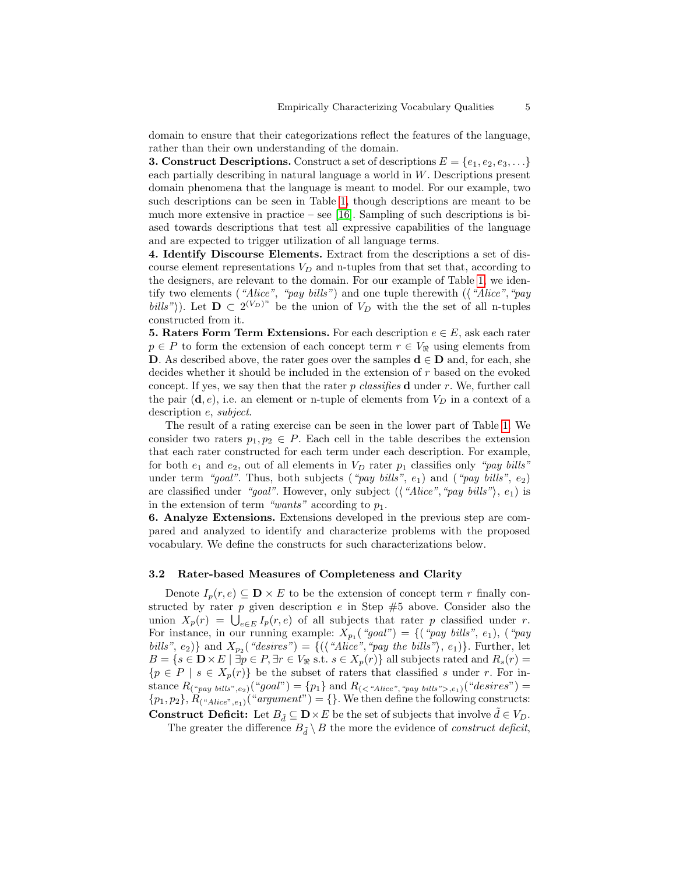domain to ensure that their categorizations reflect the features of the language, rather than their own understanding of the domain.

**3. Construct Descriptions.** Construct a set of descriptions  $E = \{e_1, e_2, e_3, \ldots\}$ each partially describing in natural language a world in W. Descriptions present domain phenomena that the language is meant to model. For our example, two such descriptions can be seen in Table [1,](#page-3-1) though descriptions are meant to be much more extensive in practice – see [\[16\]](#page-13-4). Sampling of such descriptions is biased towards descriptions that test all expressive capabilities of the language and are expected to trigger utilization of all language terms.

4. Identify Discourse Elements. Extract from the descriptions a set of discourse element representations  $V_D$  and n-tuples from that set that, according to the designers, are relevant to the domain. For our example of Table [1,](#page-3-1) we identify two elements ("Alice", "pay bills") and one tuple therewith ( $\langle "Alice", "pay\]$ bills")). Let  $\mathbf{D} \subset 2^{(V_D)^n}$  be the union of  $V_D$  with the the set of all n-tuples constructed from it.

**5. Raters Form Term Extensions.** For each description  $e \in E$ , ask each rater  $p \in P$  to form the extension of each concept term  $r \in V_{\Re}$  using elements from D. As described above, the rater goes over the samples  $d ∈ D$  and, for each, she decides whether it should be included in the extension of  $r$  based on the evoked concept. If yes, we say then that the rater  $p$  classifies **d** under  $r$ . We, further call the pair  $(\mathbf{d}, e)$ , i.e. an element or n-tuple of elements from  $V_D$  in a context of a description e, subject.

The result of a rating exercise can be seen in the lower part of Table [1.](#page-3-1) We consider two raters  $p_1, p_2 \in P$ . Each cell in the table describes the extension that each rater constructed for each term under each description. For example, for both  $e_1$  and  $e_2$ , out of all elements in  $V_D$  rater  $p_1$  classifies only "*pay bills*" under term "goal". Thus, both subjects ("pay bills",  $e_1$ ) and ("pay bills",  $e_2$ ) are classified under "goal". However, only subject  $(\langle "Alice", "pay bills"), e_1 \rangle)$  is in the extension of term "wants" according to  $p_1$ .

6. Analyze Extensions. Extensions developed in the previous step are compared and analyzed to identify and characterize problems with the proposed vocabulary. We define the constructs for such characterizations below.

# 3.2 Rater-based Measures of Completeness and Clarity

Denote  $I_n(r, e) \subseteq \mathbf{D} \times E$  to be the extension of concept term r finally constructed by rater  $p$  given description  $e$  in Step  $#5$  above. Consider also the union  $X_p(r) = \bigcup_{e \in E} I_p(r, e)$  of all subjects that rater p classified under r. For instance, in our running example:  $X_{p_1}({}^\omega goal^{\omega}) = \{({}^\omega pay \; bills^{\omega}, \, e_1), \,({}^\omega pay$ bills",  $e_2$ } and  $X_{p_2}$  ("desires") = {( $\langle$ "Alice", "pay the bills"),  $e_1$ }. Further, let  $B = \{s \in \mathbf{D} \times E \mid \exists p \in P, \exists r \in V_{\Re} \text{ s.t. } s \in X_p(r)\}\text{ all subjects rated and } R_s(r) =$  ${p \in P \mid s \in X_p(r)}$  be the subset of raters that classified s under r. For instance  $R_{(\text{``pay~bills''}, e_2)}(\text{``goal''}) = \{p_1\}$  and  $R_{(< \text{``Alice''}, \text{``pay~bills''}>, e_1)}(\text{``desires''}) =$  $\{p_1, p_2\}, R_{(*Alice", e_1)}("argument") = \{\}.$  We then define the following constructs: **Construct Deficit:** Let  $B_{\tilde{d}} \subseteq \mathbf{D} \times E$  be the set of subjects that involve  $d \in V_D$ .

The greater the difference  $B_{\tilde{d}} \setminus B$  the more the evidence of *construct deficit*,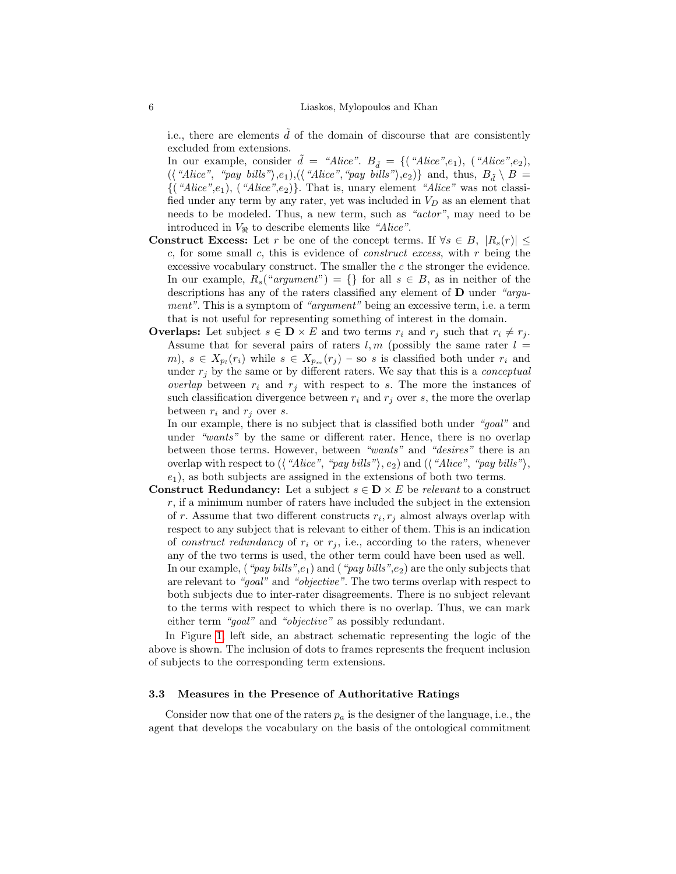i.e., there are elements  $d$  of the domain of discourse that are consistently excluded from extensions.

In our example, consider  $\tilde{d} = \text{``Alice''}. B_{\tilde{d}} = \{(\text{``Alice''}, e_1), (\text{``Alice''}, e_2),$  $(\langle "Alice", "pay bills"), e_1), (\langle "Alice", "pay bills"), e_2) \}$  and, thus,  $B_{\tilde{d}} \setminus B =$  $\{('Alice", e_1), ('Alice", e_2)\}.$  That is, unary element "Alice" was not classified under any term by any rater, yet was included in  $V_D$  as an element that needs to be modeled. Thus, a new term, such as "actor", may need to be introduced in  $V_{\Re}$  to describe elements like "Alice".

- **Construct Excess:** Let r be one of the concept terms. If  $\forall s \in B, |R_s(r)| \leq$ c, for some small c, this is evidence of *construct excess*, with  $r$  being the excessive vocabulary construct. The smaller the c the stronger the evidence. In our example,  $R_s("argument") = \{\}\$ for all  $s \in B$ , as in neither of the descriptions has any of the raters classified any element of  $\bf{D}$  under "argument". This is a symptom of "argument" being an excessive term, i.e. a term that is not useful for representing something of interest in the domain.
- **Overlaps:** Let subject  $s \in \mathbf{D} \times E$  and two terms  $r_i$  and  $r_j$  such that  $r_i \neq r_j$ . Assume that for several pairs of raters  $l, m$  (possibly the same rater  $l =$  $m$ ,  $s \in X_{p_l}(r_i)$  while  $s \in X_{p_m}(r_j)$  – so s is classified both under  $r_i$  and under  $r_i$  by the same or by different raters. We say that this is a *conceptual* overlap between  $r_i$  and  $r_j$  with respect to s. The more the instances of such classification divergence between  $r_i$  and  $r_j$  over s, the more the overlap between  $r_i$  and  $r_j$  over s.

In our example, there is no subject that is classified both under "goal" and under "wants" by the same or different rater. Hence, there is no overlap between those terms. However, between "wants" and "desires" there is an overlap with respect to  $({\langle "Alice", "pay bills"}\rangle, e_2)$  and  $({\langle "Alice", "pay bills"}\rangle,$  $e_1$ , as both subjects are assigned in the extensions of both two terms.

**Construct Redundancy:** Let a subject  $s \in \mathbf{D} \times E$  be relevant to a construct  $r$ , if a minimum number of raters have included the subject in the extension of r. Assume that two different constructs  $r_i, r_j$  almost always overlap with respect to any subject that is relevant to either of them. This is an indication of *construct redundancy* of  $r_i$  or  $r_j$ , i.e., according to the raters, whenever any of the two terms is used, the other term could have been used as well. In our example, ("pay bills", $e_1$ ) and ("pay bills", $e_2$ ) are the only subjects that are relevant to "goal" and "objective". The two terms overlap with respect to both subjects due to inter-rater disagreements. There is no subject relevant to the terms with respect to which there is no overlap. Thus, we can mark either term "goal" and "objective" as possibly redundant.

In Figure [1,](#page-6-0) left side, an abstract schematic representing the logic of the above is shown. The inclusion of dots to frames represents the frequent inclusion of subjects to the corresponding term extensions.

# 3.3 Measures in the Presence of Authoritative Ratings

Consider now that one of the raters  $p_a$  is the designer of the language, i.e., the agent that develops the vocabulary on the basis of the ontological commitment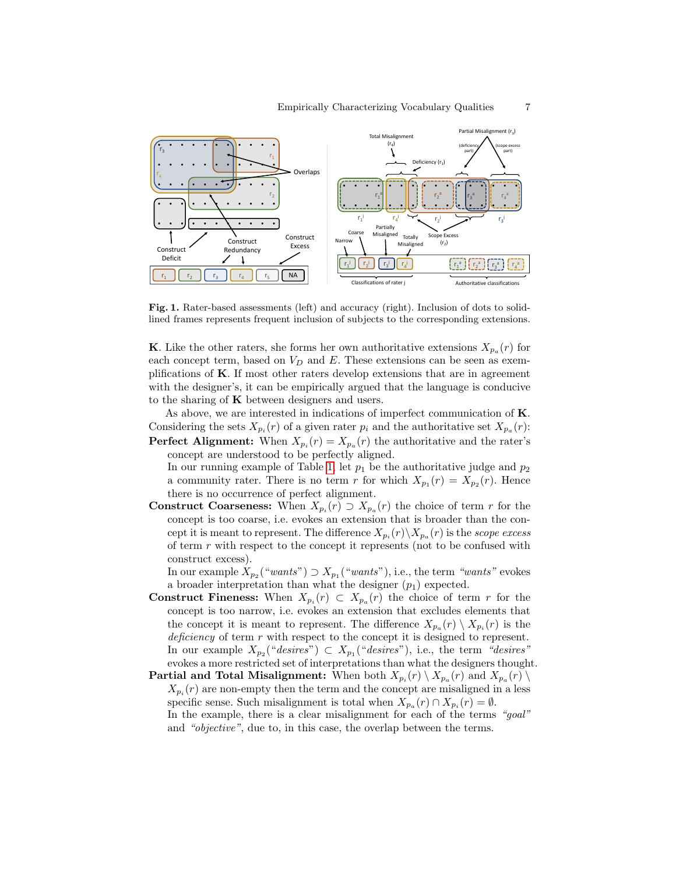

<span id="page-6-0"></span>Fig. 1. Rater-based assessments (left) and accuracy (right). Inclusion of dots to solidlined frames represents frequent inclusion of subjects to the corresponding extensions.

**K**. Like the other raters, she forms her own authoritative extensions  $X_{p_a}(r)$  for each concept term, based on  $V_D$  and E. These extensions can be seen as exemplifications of K. If most other raters develop extensions that are in agreement with the designer's, it can be empirically argued that the language is conducive to the sharing of K between designers and users.

As above, we are interested in indications of imperfect communication of K. Considering the sets  $X_{p_i}(r)$  of a given rater  $p_i$  and the authoritative set  $X_{p_a}(r)$ :

**Perfect Alignment:** When  $X_{p_i}(r) = X_{p_a}(r)$  the authoritative and the rater's concept are understood to be perfectly aligned.

In our running example of Table [1,](#page-3-1) let  $p_1$  be the authoritative judge and  $p_2$ a community rater. There is no term r for which  $X_{p_1}(r) = X_{p_2}(r)$ . Hence there is no occurrence of perfect alignment.

**Construct Coarseness:** When  $X_{p_i}(r) \supset X_{p_a}(r)$  the choice of term r for the concept is too coarse, i.e. evokes an extension that is broader than the concept it is meant to represent. The difference  $X_{p_i}(r)\backslash X_{p_a}(r)$  is the scope excess of term  $r$  with respect to the concept it represents (not to be confused with construct excess).

In our example  $X_{p_2}("wants") \supset X_{p_1}("wants"),$  i.e., the term "wants" evokes a broader interpretation than what the designer  $(p_1)$  expected.

- **Construct Fineness:** When  $X_{p_i}(r) \subset X_{p_a}(r)$  the choice of term r for the concept is too narrow, i.e. evokes an extension that excludes elements that the concept it is meant to represent. The difference  $X_{p_a}(r) \setminus X_{p_i}(r)$  is the deficiency of term r with respect to the concept it is designed to represent. In our example  $X_{p_2}({}^\alpha \text{desires}^n) \subset X_{p_1}({}^\alpha \text{desires}^n)$ , i.e., the term "desires" evokes a more restricted set of interpretations than what the designers thought.
- Partial and Total Misalignment: When both  $X_{p_i}(r) \setminus X_{p_a}(r)$  and  $X_{p_a}(r) \setminus X_{p_b}(r)$  $X_{p_i}(r)$  are non-empty then the term and the concept are misaligned in a less specific sense. Such misalignment is total when  $X_{p_a}(r) \cap X_{p_i}(r) = \emptyset$ . In the example, there is a clear misalignment for each of the terms "goal" and "objective", due to, in this case, the overlap between the terms.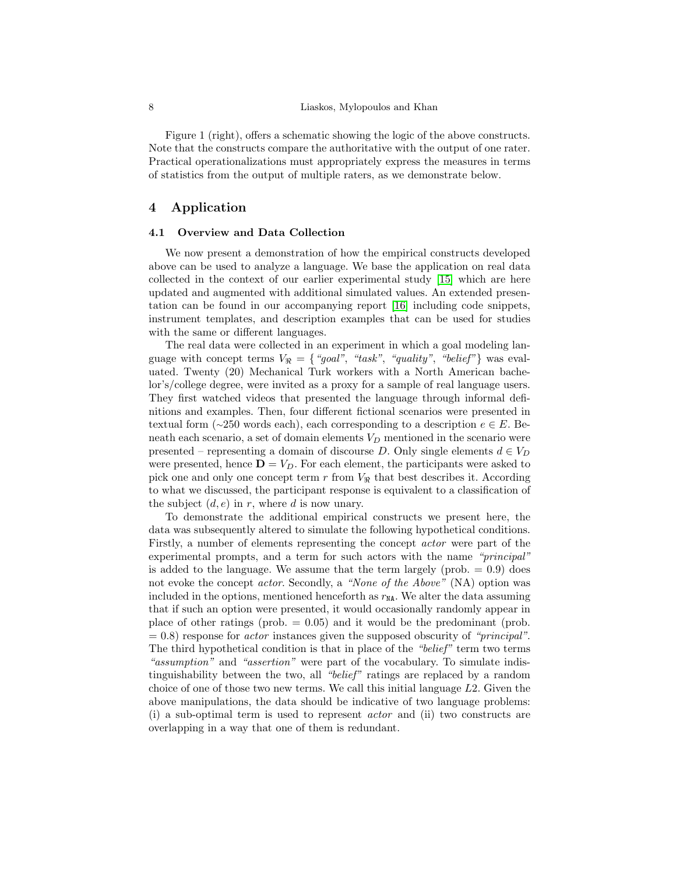Figure 1 (right), offers a schematic showing the logic of the above constructs. Note that the constructs compare the authoritative with the output of one rater. Practical operationalizations must appropriately express the measures in terms of statistics from the output of multiple raters, as we demonstrate below.

# <span id="page-7-0"></span>4 Application

## 4.1 Overview and Data Collection

We now present a demonstration of how the empirical constructs developed above can be used to analyze a language. We base the application on real data collected in the context of our earlier experimental study [\[15\]](#page-13-2) which are here updated and augmented with additional simulated values. An extended presentation can be found in our accompanying report [\[16\]](#page-13-4) including code snippets, instrument templates, and description examples that can be used for studies with the same or different languages.

The real data were collected in an experiment in which a goal modeling language with concept terms  $V_{\Re} = \{$  "goal", "task", "quality", "belief"} was evaluated. Twenty (20) Mechanical Turk workers with a North American bachelor's/college degree, were invited as a proxy for a sample of real language users. They first watched videos that presented the language through informal definitions and examples. Then, four different fictional scenarios were presented in textual form (∼250 words each), each corresponding to a description  $e \in E$ . Beneath each scenario, a set of domain elements  $V_D$  mentioned in the scenario were presented – representing a domain of discourse D. Only single elements  $d \in V_D$ were presented, hence  $\mathbf{D} = V_D$ . For each element, the participants were asked to pick one and only one concept term r from  $V_{\Re}$  that best describes it. According to what we discussed, the participant response is equivalent to a classification of the subject  $(d, e)$  in r, where d is now unary.

To demonstrate the additional empirical constructs we present here, the data was subsequently altered to simulate the following hypothetical conditions. Firstly, a number of elements representing the concept actor were part of the experimental prompts, and a term for such actors with the name "principal" is added to the language. We assume that the term largely  $(\text{prob.} = 0.9)$  does not evoke the concept actor. Secondly, a "None of the Above" (NA) option was included in the options, mentioned henceforth as  $r_{NA}$ . We alter the data assuming that if such an option were presented, it would occasionally randomly appear in place of other ratings (prob.  $= 0.05$ ) and it would be the predominant (prob.  $= 0.8$ ) response for *actor* instances given the supposed obscurity of "*principal*". The third hypothetical condition is that in place of the "belief" term two terms "assumption" and "assertion" were part of the vocabulary. To simulate indistinguishability between the two, all "belief" ratings are replaced by a random choice of one of those two new terms. We call this initial language L2. Given the above manipulations, the data should be indicative of two language problems: (i) a sub-optimal term is used to represent actor and (ii) two constructs are overlapping in a way that one of them is redundant.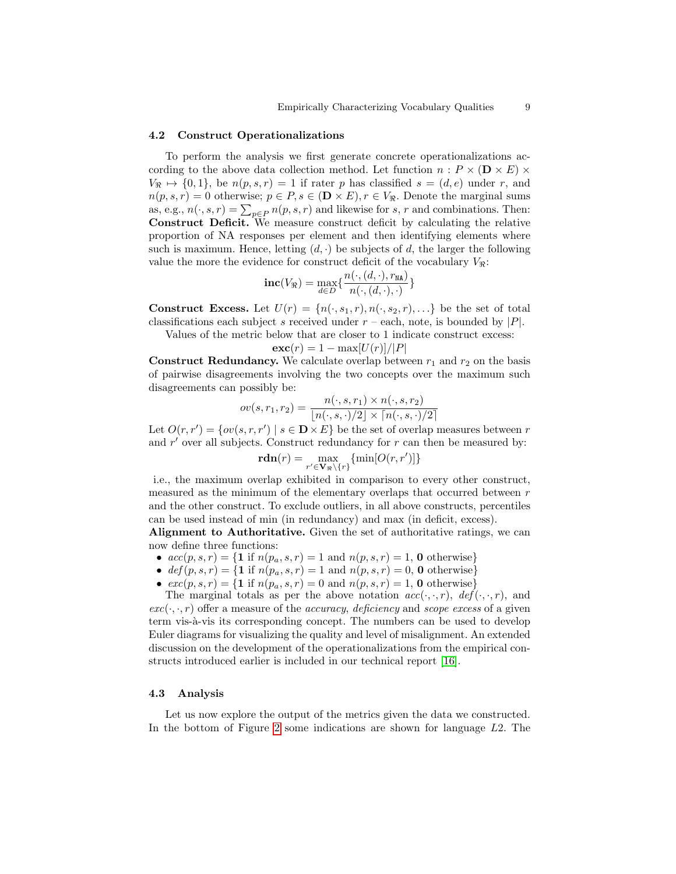#### 4.2 Construct Operationalizations

To perform the analysis we first generate concrete operationalizations according to the above data collection method. Let function  $n : P \times (D \times E) \times$  $V_{\mathcal{R}} \mapsto \{0, 1\}$ , be  $n(p, s, r) = 1$  if rater p has classified  $s = (d, e)$  under r, and  $n(p, s, r) = 0$  otherwise;  $p \in P$ ,  $s \in (\mathbf{D} \times E)$ ,  $r \in V_{\mathbb{R}}$ . Denote the marginal sums as, e.g.,  $n(\cdot, s, r) = \sum_{p \in P} n(p, s, r)$  and likewise for s, r and combinations. Then: Construct Deficit. We measure construct deficit by calculating the relative proportion of NA responses per element and then identifying elements where such is maximum. Hence, letting  $(d, \cdot)$  be subjects of d, the larger the following value the more the evidence for construct deficit of the vocabulary  $V_{\mathbb{R}}$ :

$$
\mathbf{inc}(V_{\Re}) = \max_{d \in D} \{ \frac{n(\cdot, (d, \cdot), r_{\Re A})}{n(\cdot, (d, \cdot), \cdot)} \}
$$

**Construct Excess.** Let  $U(r) = \{n(\cdot, s_1, r), n(\cdot, s_2, r), ...\}$  be the set of total classifications each subject s received under  $r$  – each, note, is bounded by  $|P|$ .

Values of the metric below that are closer to 1 indicate construct excess:

$$
\mathbf{exc}(r) = 1 - \max[U(r)]/|P|
$$

**Construct Redundancy.** We calculate overlap between  $r_1$  and  $r_2$  on the basis of pairwise disagreements involving the two concepts over the maximum such disagreements can possibly be:

$$
ov(s, r_1, r_2) = \frac{n(\cdot, s, r_1) \times n(\cdot, s, r_2)}{\lfloor n(\cdot, s, \cdot)/2 \rfloor \times \lfloor n(\cdot, s, \cdot)/2 \rfloor}
$$

Let  $O(r, r') = \{ov(s, r, r') \mid s \in \mathbf{D} \times E\}$  be the set of overlap measures between r and  $r'$  over all subjects. Construct redundancy for  $r$  can then be measured by:

$$
\mathbf{rdn}(r) = \max_{r' \in \mathbf{V}_{\Re}\backslash\{r\}} \{\min[O(r, r')] \}
$$

i.e., the maximum overlap exhibited in comparison to every other construct, measured as the minimum of the elementary overlaps that occurred between  $r$ and the other construct. To exclude outliers, in all above constructs, percentiles can be used instead of min (in redundancy) and max (in deficit, excess).

Alignment to Authoritative. Given the set of authoritative ratings, we can now define three functions:

- $acc(p, s, r) = \{1 \text{ if } n(p_a, s, r) = 1 \text{ and } n(p, s, r) = 1, 0 \text{ otherwise}\}\$
- def  $(p, s, r) = \{1 \text{ if } n(p_a, s, r) = 1 \text{ and } n(p, s, r) = 0, 0 \text{ otherwise}\}\$
- $exc(p, s, r) = \{1 \text{ if } n(p_a, s, r) = 0 \text{ and } n(p, s, r) = 1, 0 \text{ otherwise}\}\$

The marginal totals as per the above notation  $acc(\cdot, \cdot, r)$ ,  $def(\cdot, \cdot, r)$ , and  $exc(\cdot, \cdot, r)$  offer a measure of the *accuracy, deficiency* and *scope excess* of a given term vis-à-vis its corresponding concept. The numbers can be used to develop Euler diagrams for visualizing the quality and level of misalignment. An extended discussion on the development of the operationalizations from the empirical constructs introduced earlier is included in our technical report [\[16\]](#page-13-4).

#### 4.3 Analysis

Let us now explore the output of the metrics given the data we constructed. In the bottom of Figure [2](#page-9-0) some indications are shown for language  $L2$ . The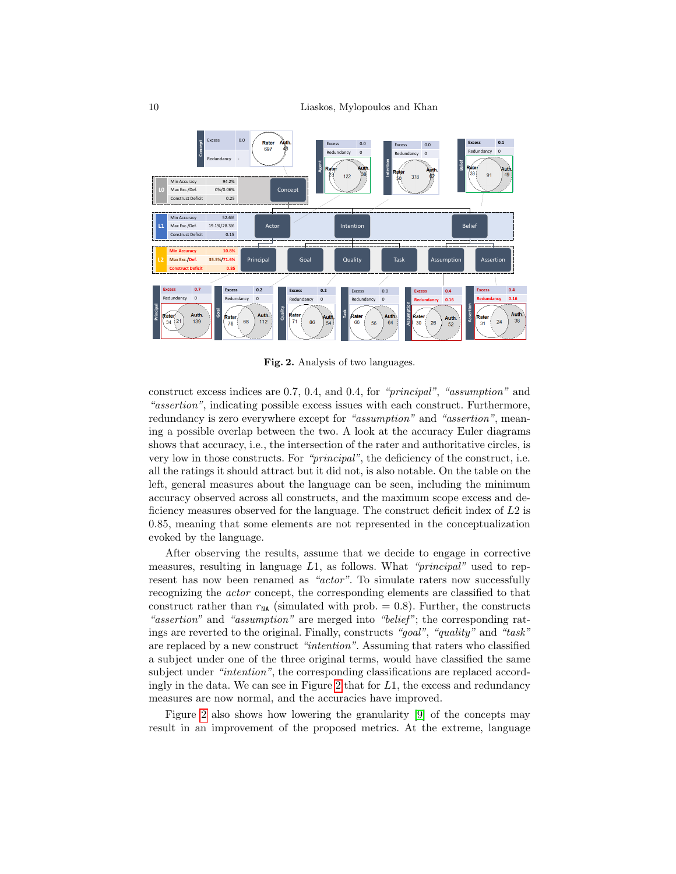

<span id="page-9-0"></span>Fig. 2. Analysis of two languages.

construct excess indices are 0.7, 0.4, and 0.4, for "principal", "assumption" and "assertion", indicating possible excess issues with each construct. Furthermore, redundancy is zero everywhere except for "assumption" and "assertion", meaning a possible overlap between the two. A look at the accuracy Euler diagrams shows that accuracy, i.e., the intersection of the rater and authoritative circles, is very low in those constructs. For "principal", the deficiency of the construct, i.e. all the ratings it should attract but it did not, is also notable. On the table on the left, general measures about the language can be seen, including the minimum accuracy observed across all constructs, and the maximum scope excess and deficiency measures observed for the language. The construct deficit index of L2 is 0.85, meaning that some elements are not represented in the conceptualization evoked by the language.

After observing the results, assume that we decide to engage in corrective measures, resulting in language  $L1$ , as follows. What "*principal*" used to represent has now been renamed as "actor". To simulate raters now successfully recognizing the actor concept, the corresponding elements are classified to that construct rather than  $r_{NA}$  (simulated with prob. = 0.8). Further, the constructs "assertion" and "assumption" are merged into "belief"; the corresponding ratings are reverted to the original. Finally, constructs "goal", "quality" and "task" are replaced by a new construct "intention". Assuming that raters who classified a subject under one of the three original terms, would have classified the same subject under "intention", the corresponding classifications are replaced accord-ingly in the data. We can see in Figure [2](#page-9-0) that for  $L_1$ , the excess and redundancy measures are now normal, and the accuracies have improved.

Figure [2](#page-9-0) also shows how lowering the granularity [\[9\]](#page-13-5) of the concepts may result in an improvement of the proposed metrics. At the extreme, language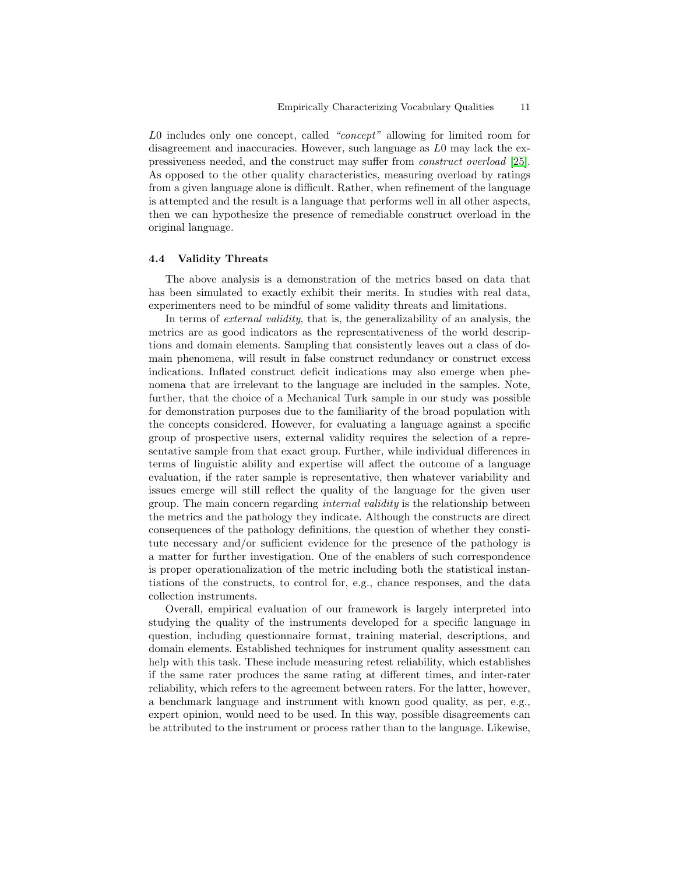L0 includes only one concept, called "concept" allowing for limited room for disagreement and inaccuracies. However, such language as L0 may lack the expressiveness needed, and the construct may suffer from construct overload [\[25\]](#page-13-1). As opposed to the other quality characteristics, measuring overload by ratings from a given language alone is difficult. Rather, when refinement of the language is attempted and the result is a language that performs well in all other aspects, then we can hypothesize the presence of remediable construct overload in the original language.

## 4.4 Validity Threats

The above analysis is a demonstration of the metrics based on data that has been simulated to exactly exhibit their merits. In studies with real data, experimenters need to be mindful of some validity threats and limitations.

In terms of external validity, that is, the generalizability of an analysis, the metrics are as good indicators as the representativeness of the world descriptions and domain elements. Sampling that consistently leaves out a class of domain phenomena, will result in false construct redundancy or construct excess indications. Inflated construct deficit indications may also emerge when phenomena that are irrelevant to the language are included in the samples. Note, further, that the choice of a Mechanical Turk sample in our study was possible for demonstration purposes due to the familiarity of the broad population with the concepts considered. However, for evaluating a language against a specific group of prospective users, external validity requires the selection of a representative sample from that exact group. Further, while individual differences in terms of linguistic ability and expertise will affect the outcome of a language evaluation, if the rater sample is representative, then whatever variability and issues emerge will still reflect the quality of the language for the given user group. The main concern regarding *internal validity* is the relationship between the metrics and the pathology they indicate. Although the constructs are direct consequences of the pathology definitions, the question of whether they constitute necessary and/or sufficient evidence for the presence of the pathology is a matter for further investigation. One of the enablers of such correspondence is proper operationalization of the metric including both the statistical instantiations of the constructs, to control for, e.g., chance responses, and the data collection instruments.

Overall, empirical evaluation of our framework is largely interpreted into studying the quality of the instruments developed for a specific language in question, including questionnaire format, training material, descriptions, and domain elements. Established techniques for instrument quality assessment can help with this task. These include measuring retest reliability, which establishes if the same rater produces the same rating at different times, and inter-rater reliability, which refers to the agreement between raters. For the latter, however, a benchmark language and instrument with known good quality, as per, e.g., expert opinion, would need to be used. In this way, possible disagreements can be attributed to the instrument or process rather than to the language. Likewise,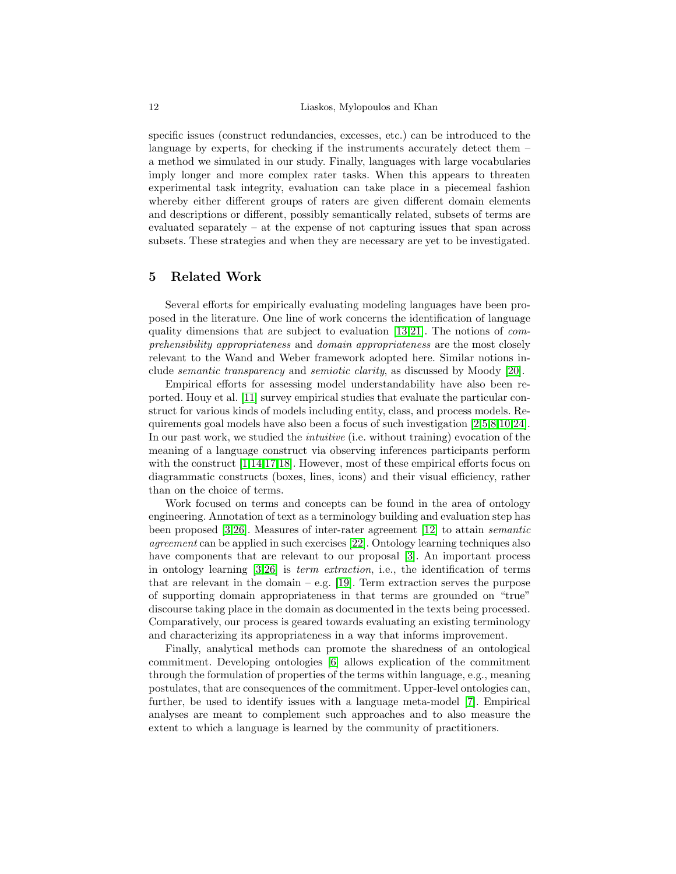specific issues (construct redundancies, excesses, etc.) can be introduced to the language by experts, for checking if the instruments accurately detect them – a method we simulated in our study. Finally, languages with large vocabularies imply longer and more complex rater tasks. When this appears to threaten experimental task integrity, evaluation can take place in a piecemeal fashion whereby either different groups of raters are given different domain elements and descriptions or different, possibly semantically related, subsets of terms are evaluated separately – at the expense of not capturing issues that span across subsets. These strategies and when they are necessary are yet to be investigated.

# <span id="page-11-0"></span>5 Related Work

Several efforts for empirically evaluating modeling languages have been proposed in the literature. One line of work concerns the identification of language quality dimensions that are subject to evaluation [\[13,](#page-13-6)[21\]](#page-13-7). The notions of comprehensibility appropriateness and domain appropriateness are the most closely relevant to the Wand and Weber framework adopted here. Similar notions include semantic transparency and semiotic clarity, as discussed by Moody [\[20\]](#page-13-8).

Empirical efforts for assessing model understandability have also been reported. Houy et al. [\[11\]](#page-13-9) survey empirical studies that evaluate the particular construct for various kinds of models including entity, class, and process models. Requirements goal models have also been a focus of such investigation [\[2,](#page-12-4)[5,](#page-12-5)[8,](#page-12-6)[10,](#page-13-10)[24\]](#page-13-11). In our past work, we studied the *intuitive* (i.e. without training) evocation of the meaning of a language construct via observing inferences participants perform with the construct [\[1](#page-12-7)[,14,](#page-13-12)[17,](#page-13-13)[18\]](#page-13-14). However, most of these empirical efforts focus on diagrammatic constructs (boxes, lines, icons) and their visual efficiency, rather than on the choice of terms.

Work focused on terms and concepts can be found in the area of ontology engineering. Annotation of text as a terminology building and evaluation step has been proposed [\[3,](#page-12-8)[26\]](#page-13-15). Measures of inter-rater agreement [\[12\]](#page-13-3) to attain semantic agreement can be applied in such exercises [\[22\]](#page-13-16). Ontology learning techniques also have components that are relevant to our proposal [\[3\]](#page-12-8). An important process in ontology learning [\[3,](#page-12-8)[26\]](#page-13-15) is term extraction, i.e., the identification of terms that are relevant in the domain – e.g.  $[19]$ . Term extraction serves the purpose of supporting domain appropriateness in that terms are grounded on "true" discourse taking place in the domain as documented in the texts being processed. Comparatively, our process is geared towards evaluating an existing terminology and characterizing its appropriateness in a way that informs improvement.

Finally, analytical methods can promote the sharedness of an ontological commitment. Developing ontologies [\[6\]](#page-12-0) allows explication of the commitment through the formulation of properties of the terms within language, e.g., meaning postulates, that are consequences of the commitment. Upper-level ontologies can, further, be used to identify issues with a language meta-model [\[7\]](#page-12-1). Empirical analyses are meant to complement such approaches and to also measure the extent to which a language is learned by the community of practitioners.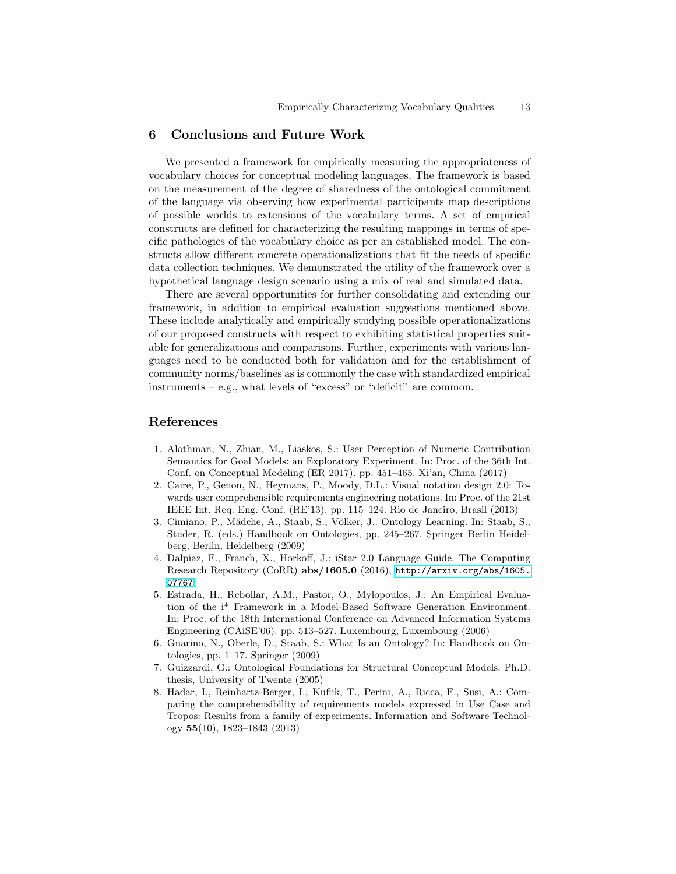# <span id="page-12-3"></span>6 Conclusions and Future Work

We presented a framework for empirically measuring the appropriateness of vocabulary choices for conceptual modeling languages. The framework is based on the measurement of the degree of sharedness of the ontological commitment of the language via observing how experimental participants map descriptions of possible worlds to extensions of the vocabulary terms. A set of empirical constructs are defined for characterizing the resulting mappings in terms of specific pathologies of the vocabulary choice as per an established model. The constructs allow different concrete operationalizations that fit the needs of specific data collection techniques. We demonstrated the utility of the framework over a hypothetical language design scenario using a mix of real and simulated data.

There are several opportunities for further consolidating and extending our framework, in addition to empirical evaluation suggestions mentioned above. These include analytically and empirically studying possible operationalizations of our proposed constructs with respect to exhibiting statistical properties suitable for generalizations and comparisons. Further, experiments with various languages need to be conducted both for validation and for the establishment of community norms/baselines as is commonly the case with standardized empirical instruments – e.g., what levels of "excess" or "deficit" are common.

# References

- <span id="page-12-7"></span>1. Alothman, N., Zhian, M., Liaskos, S.: User Perception of Numeric Contribution Semantics for Goal Models: an Exploratory Experiment. In: Proc. of the 36th Int. Conf. on Conceptual Modeling (ER 2017). pp. 451–465. Xi'an, China (2017)
- <span id="page-12-4"></span>2. Caire, P., Genon, N., Heymans, P., Moody, D.L.: Visual notation design 2.0: Towards user comprehensible requirements engineering notations. In: Proc. of the 21st IEEE Int. Req. Eng. Conf. (RE'13). pp. 115–124. Rio de Janeiro, Brasil (2013)
- <span id="page-12-8"></span>3. Cimiano, P., Mädche, A., Staab, S., Völker, J.: Ontology Learning. In: Staab, S., Studer, R. (eds.) Handbook on Ontologies, pp. 245–267. Springer Berlin Heidelberg, Berlin, Heidelberg (2009)
- <span id="page-12-2"></span>4. Dalpiaz, F., Franch, X., Horkoff, J.: iStar 2.0 Language Guide. The Computing Research Repository (CoRR) abs/1605.0 (2016), [http://arxiv.org/abs/1605.](http://arxiv.org/abs/1605.07767) [07767](http://arxiv.org/abs/1605.07767)
- <span id="page-12-5"></span>5. Estrada, H., Rebollar, A.M., Pastor, O., Mylopoulos, J.: An Empirical Evaluation of the i\* Framework in a Model-Based Software Generation Environment. In: Proc. of the 18th International Conference on Advanced Information Systems Engineering (CAiSE'06). pp. 513–527. Luxembourg, Luxembourg (2006)
- <span id="page-12-0"></span>6. Guarino, N., Oberle, D., Staab, S.: What Is an Ontology? In: Handbook on Ontologies, pp. 1–17. Springer (2009)
- <span id="page-12-1"></span>7. Guizzardi, G.: Ontological Foundations for Structural Conceptual Models. Ph.D. thesis, University of Twente (2005)
- <span id="page-12-6"></span>8. Hadar, I., Reinhartz-Berger, I., Kuflik, T., Perini, A., Ricca, F., Susi, A.: Comparing the comprehensibility of requirements models expressed in Use Case and Tropos: Results from a family of experiments. Information and Software Technology 55(10), 1823–1843 (2013)